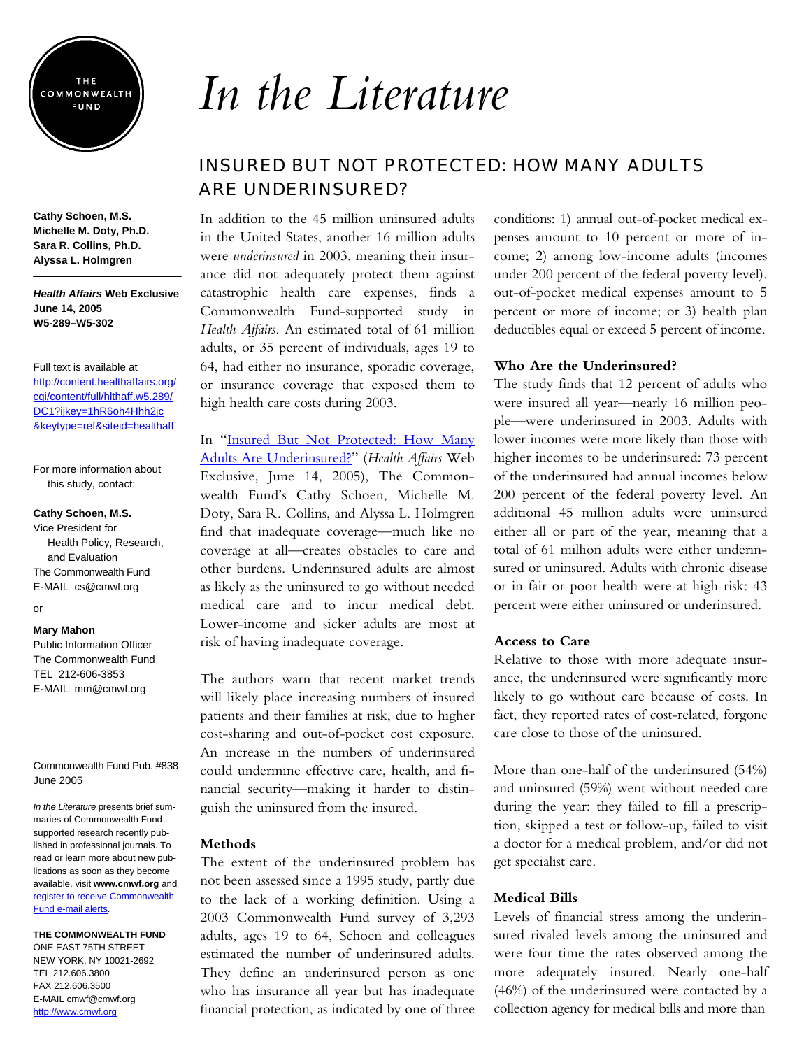

**Cathy Schoen, M.S. Michelle M. Doty, Ph.D. Sara R. Collins, Ph.D. Alyssa L. Holmgren** 

#### *Health Affairs* **Web Exclusive June 14, 2005 W5-289–W5-302**

Full text is available at [http://content.healthaffairs.org/](http://content.healthaffairs.org/cgi/content/full/hlthaff.w5.289/DC1?ijkey=1hR6oh4Hhh2jc&keytype=ref&siteid=healthaff) cgi/content/full/hlthaff.w5.289/ DC1?ijkey=1hR6oh4Hhh2jc &keytype=ref&siteid=healthaff

For more information about this study, contact:

#### **Cathy Schoen, M.S.**

Vice President for Health Policy, Research, and Evaluation The Commonwealth Fund E-MAIL cs@cmwf.org

# or

#### **Mary Mahon**

Public Information Officer The Commonwealth Fund TEL 212-606-3853 E-MAIL mm@cmwf.org

Commonwealth Fund Pub. #838 June 2005

*In the Literature* presents brief summaries of Commonwealth Fund– supported research recently published in professional journals. To read or learn more about new publications as soon as they become available, visit **www.cmwf.org** and [register to receive Commonwealth](http://www.cmwf.org/emailalert/emailalert.htm)  Fund e-mail alerts.

**THE COMMONWEALTH FUND**  ONE EAST 75TH STREET

NEW YORK, NY 10021-2692 TEL 212.606.3800 FAX 212.606.3500 E-MAIL cmwf@cmwf.org <http://www.cmwf.org>

# *In the Literature*

# INSURED BUT NOT PROTECTED: HOW MANY ADULTS ARE UNDERINSURED?

In addition to the 45 million uninsured adults in the United States, another 16 million adults were *underinsured* in 2003, meaning their insurance did not adequately protect them against catastrophic health care expenses, finds a Commonwealth Fund-supported study in *Health Affairs*. An estimated total of 61 million adults, or 35 percent of individuals, ages 19 to 64, had either no insurance, sporadic coverage, or insurance coverage that exposed them to high health care costs during 2003.

In "Insured But Not Protected: How Many [Adults Are Underinsured?"](http://content.healthaffairs.org/cgi/content/full/hlthaff.w5.289/DC1?ijkey=1hR6oh4Hhh2jc&keytype=ref&siteid=healthaff) (*Health Affairs* Web Exclusive, June 14, 2005), The Commonwealth Fund's Cathy Schoen, Michelle M. Doty, Sara R. Collins, and Alyssa L. Holmgren find that inadequate coverage—much like no coverage at all—creates obstacles to care and other burdens. Underinsured adults are almost as likely as the uninsured to go without needed medical care and to incur medical debt. Lower-income and sicker adults are most at risk of having inadequate coverage.

The authors warn that recent market trends will likely place increasing numbers of insured patients and their families at risk, due to higher cost-sharing and out-of-pocket cost exposure. An increase in the numbers of underinsured could undermine effective care, health, and financial security—making it harder to distinguish the uninsured from the insured.

#### **Methods**

The extent of the underinsured problem has not been assessed since a 1995 study, partly due to the lack of a working definition. Using a 2003 Commonwealth Fund survey of 3,293 adults, ages 19 to 64, Schoen and colleagues estimated the number of underinsured adults. They define an underinsured person as one who has insurance all year but has inadequate financial protection, as indicated by one of three conditions: 1) annual out-of-pocket medical expenses amount to 10 percent or more of income; 2) among low-income adults (incomes under 200 percent of the federal poverty level), out-of-pocket medical expenses amount to 5 percent or more of income; or 3) health plan deductibles equal or exceed 5 percent of income.

#### **Who Are the Underinsured?**

The study finds that 12 percent of adults who were insured all year—nearly 16 million people—were underinsured in 2003. Adults with lower incomes were more likely than those with higher incomes to be underinsured: 73 percent of the underinsured had annual incomes below 200 percent of the federal poverty level. An additional 45 million adults were uninsured either all or part of the year, meaning that a total of 61 million adults were either underinsured or uninsured. Adults with chronic disease or in fair or poor health were at high risk: 43 percent were either uninsured or underinsured.

### **Access to Care**

Relative to those with more adequate insurance, the underinsured were significantly more likely to go without care because of costs. In fact, they reported rates of cost-related, forgone care close to those of the uninsured.

More than one-half of the underinsured (54%) and uninsured (59%) went without needed care during the year: they failed to fill a prescription, skipped a test or follow-up, failed to visit a doctor for a medical problem, and/or did not get specialist care.

#### **Medical Bills**

Levels of financial stress among the underinsured rivaled levels among the uninsured and were four time the rates observed among the more adequately insured. Nearly one-half (46%) of the underinsured were contacted by a collection agency for medical bills and more than